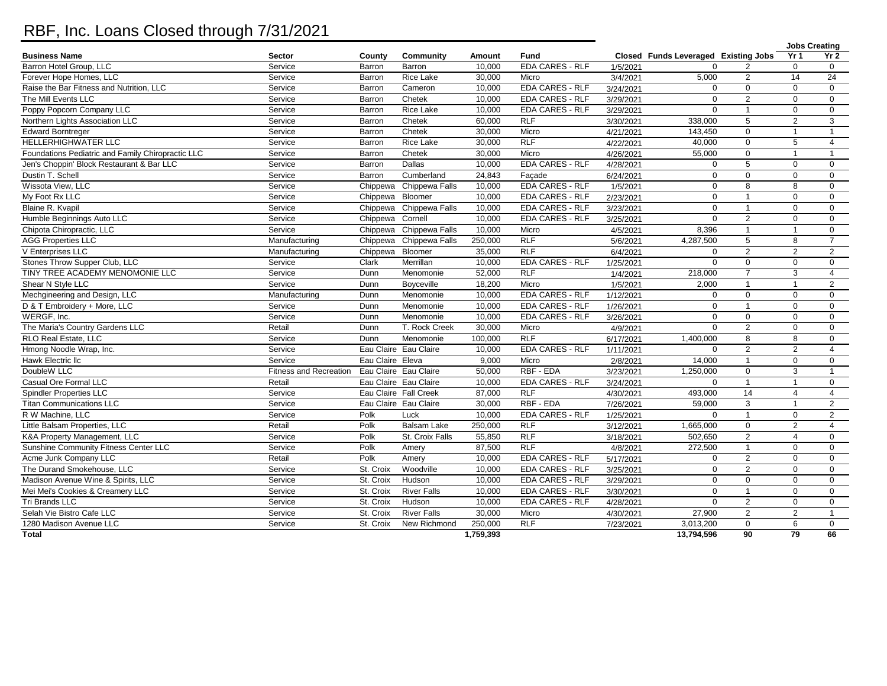## RBF, Inc. Loans Closed through 7/31/2021

|                                                   |                               |                  |                       |           |                        |                    |                                      |                |                 | <b>Jobs Creating</b> |
|---------------------------------------------------|-------------------------------|------------------|-----------------------|-----------|------------------------|--------------------|--------------------------------------|----------------|-----------------|----------------------|
| <b>Business Name</b>                              | Sector                        | County           | Community             | Amount    | Fund                   |                    | Closed Funds Leveraged Existing Jobs |                | Yr <sub>1</sub> | Yr2                  |
| Barron Hotel Group, LLC                           | Service                       | Barron           | Barron                | 10,000    | <b>EDA CARES - RLF</b> | 1/5/2021           | $\Omega$                             |                | $\mathbf 0$     | $\mathbf 0$          |
| Forever Hope Homes, LLC                           | Service                       | Barron           | Rice Lake             | 30,000    | Micro                  | 3/4/2021           | 5,000                                | 2              | 14              | $\overline{24}$      |
| Raise the Bar Fitness and Nutrition, LLC          | Service                       | Barron           | Cameron               | 10,000    | EDA CARES - RLF        | 3/24/2021          | $\Omega$                             | $\Omega$       | $\Omega$        | $\mathbf 0$          |
| The Mill Events LLC                               | Service                       | Barron           | Chetek                | 10,000    | <b>EDA CARES - RLF</b> | 3/29/2021          | $\Omega$                             | $\overline{2}$ | $\Omega$        | $\mathbf 0$          |
| Poppy Popcorn Company LLC                         | Service                       | Barron           | Rice Lake             | 10,000    | <b>EDA CARES - RLF</b> | 3/29/2021          | $\Omega$                             | $\overline{1}$ | $\mathbf 0$     | $\mathbf{0}$         |
| Northern Lights Association LLC                   | Service                       | Barron           | Chetek                | 60,000    | <b>RLF</b>             | 3/30/2021          | 338,000                              | 5              | $\mathbf{2}$    | 3                    |
| Edward Borntreger                                 | Service                       | Barron           | Chetek                | 30,000    | Micro                  | 4/21/2021          | 143,450                              | $\mathbf 0$    | $\mathbf{1}$    | $\mathbf{1}$         |
| <b>HELLERHIGHWATER LLC</b>                        | Service                       | Barron           | <b>Rice Lake</b>      | 30,000    | <b>RLF</b>             | 4/22/2021          | 40,000                               | $\mathbf 0$    | 5               | $\overline{4}$       |
| Foundations Pediatric and Family Chiropractic LLC | Service                       | Barron           | Chetek                | 30.000    | Micro                  | 4/26/2021          | 55,000                               | $\Omega$       | $\mathbf{1}$    | $\mathbf{1}$         |
| Jen's Choppin' Block Restaurant & Bar LLC         | Service                       | Barron           | Dallas                | 10,000    | <b>EDA CARES - RLF</b> | 4/28/2021          | $\Omega$                             | 5              | $\mathbf 0$     | $\mathbf 0$          |
| Dustin T. Schell                                  | Service                       | Barron           | Cumberland            | 24,843    | Façade                 | 6/24/2021          | 0                                    | $\mathbf 0$    | 0               | $\mathbf 0$          |
| Wissota View, LLC                                 | Service                       | Chippewa         | Chippewa Falls        | 10,000    | <b>EDA CARES - RLF</b> | 1/5/2021           | $\Omega$                             | 8              | 8               | $\mathbf 0$          |
| My Foot Rx LLC                                    | Service                       | Chippewa         | Bloomer               | 10,000    | <b>EDA CARES - RLF</b> | 2/23/2021          | $\mathbf 0$                          | $\overline{1}$ | $\mathbf 0$     | $\mathbf 0$          |
| Blaine R. Kvapil                                  | Service                       | Chippewa         | Chippewa Falls        | 10,000    | <b>EDA CARES - RLF</b> | 3/23/2021          | $\Omega$                             | $\overline{1}$ | $\Omega$        | $\mathbf 0$          |
| Humble Beginnings Auto LLC                        | Service                       | Chippewa         | Cornell               | 10,000    | <b>EDA CARES - RLF</b> | 3/25/2021          | $\Omega$                             | 2              | $\mathbf 0$     | $\mathbf{0}$         |
| Chipota Chiropractic, LLC                         | Service                       | Chippewa         | Chippewa Falls        | 10,000    | Micro                  | 4/5/2021           | 8,396                                | $\overline{1}$ | $\mathbf{1}$    | $\mathbf 0$          |
| <b>AGG Properties LLC</b>                         | Manufacturing                 | Chippewa         | Chippewa Falls        | 250,000   | <b>RLF</b>             | 5/6/2021           | 4,287,500                            | 5              | 8               | $\overline{7}$       |
| V Enterprises LLC                                 | Manufacturing                 | Chippewa         | Bloomer               | 35,000    | <b>RLF</b>             | 6/4/2021           | $\mathbf 0$                          | 2              | $\mathbf{2}$    | $\overline{2}$       |
| Stones Throw Supper Club, LLC                     | Service                       | Clark            | Merrillan             | 10,000    | <b>EDA CARES - RLF</b> | 1/25/2021          | $\Omega$                             | $\mathbf 0$    | $\mathbf 0$     | $\mathbf{0}$         |
| TINY TREE ACADEMY MENOMONIE LLC                   | Service                       | Dunn             | Menomonie             | 52,000    | <b>RLF</b>             | 1/4/2021           | 218,000                              | $\overline{7}$ | $\overline{3}$  | $\overline{4}$       |
| Shear N Style LLC                                 | Service                       | Dunn             | Boyceville            | 18,200    | Micro                  | 1/5/2021           | 2,000                                | $\overline{1}$ | $\mathbf{1}$    | 2                    |
| Mechgineering and Design, LLC                     | Manufacturing                 | Dunn             | Menomonie             | 10,000    | <b>EDA CARES - RLF</b> | 1/12/2021          | $\Omega$                             | $\Omega$       | $\Omega$        | $\mathbf{0}$         |
| D & T Embroidery + More, LLC                      | Service                       | Dunn             | Menomonie             | 10,000    | <b>EDA CARES - RLF</b> | 1/26/2021          | $\mathbf 0$                          | $\overline{1}$ | $\mathbf 0$     | $\mathbf 0$          |
| WERGF. Inc.                                       | Service                       | Dunn             | Menomonie             | 10,000    | <b>EDA CARES - RLF</b> | 3/26/2021          | $\Omega$                             | $\Omega$       | $\Omega$        | $\mathbf 0$          |
| The Maria's Country Gardens LLC                   | Retail                        | Dunn             | T. Rock Creek         | 30,000    | Micro                  | 4/9/2021           | $\mathbf{0}$                         | $\overline{2}$ | $\mathbf 0$     | $\mathbf 0$          |
| RLO Real Estate, LLC                              | Service                       | Dunn             | Menomonie             | 100,000   | <b>RLF</b>             | 6/17/2021          | 1,400,000                            | 8              | 8               | $\mathbf 0$          |
| Hmong Noodle Wrap, Inc.                           | Service                       |                  | Eau Claire Eau Claire | 10,000    | <b>EDA CARES - RLF</b> | 1/11/2021          | $\Omega$                             | 2              | 2               | $\overline{4}$       |
| Hawk Electric Ilc                                 | Service                       | Eau Claire Eleva |                       | 9,000     | Micro                  | 2/8/2021           | 14,000                               | $\overline{1}$ | $\mathbf 0$     | $\mathbf 0$          |
| DoubleW LLC                                       | <b>Fitness and Recreation</b> |                  | Eau Claire Eau Claire | 50.000    | RBF - EDA              | 3/23/2021          | 1.250.000                            | $\Omega$       | 3               | $\mathbf{1}$         |
| Casual Ore Formal LLC                             | Retail                        |                  | Eau Claire Eau Claire | 10,000    | <b>EDA CARES - RLF</b> | 3/24/2021          | $\Omega$                             | $\overline{1}$ | $\mathbf{1}$    | $\mathbf 0$          |
| <b>Spindler Properties LLC</b>                    | Service                       |                  | Eau Claire Fall Creek | 87,000    | <b>RLF</b>             | 4/30/2021          | 493,000                              | 14             | $\overline{4}$  | $\overline{4}$       |
| <b>Titan Communications LLC</b>                   | Service                       |                  | Eau Claire Eau Claire | 30.000    | RBF - EDA              | 7/26/2021          | 59.000                               | 3              | $\mathbf{1}$    | 2                    |
| R W Machine, LLC                                  | Service                       | Polk             | Luck                  | 10,000    | <b>EDA CARES - RLF</b> | 1/25/2021          | $\Omega$                             | $\overline{1}$ | 0               | $\overline{2}$       |
| Little Balsam Properties, LLC                     | Retail                        | Polk             | <b>Balsam Lake</b>    | 250.000   | RLF                    | 3/12/2021          | 1.665.000                            | $\mathbf 0$    | $\overline{2}$  | $\overline{4}$       |
| K&A Property Management, LLC                      | Service                       | Polk             | St. Croix Falls       | 55,850    | RLF                    | 3/18/2021          | 502,650                              | $\overline{2}$ | $\overline{4}$  | $\mathbf 0$          |
| Sunshine Community Fitness Center LLC             | Service                       | Polk             | Amery                 | 87,500    | RLF                    | $\frac{4}{8/2021}$ | 272,500                              | $\overline{1}$ | $\mathbf 0$     | $\mathbf 0$          |
| Acme Junk Company LLC                             | Retail                        | Polk             | Amery                 | 10,000    | <b>EDA CARES - RLF</b> | 5/17/2021          | $\Omega$                             | $\overline{2}$ | $\mathbf 0$     | $\mathbf 0$          |
| The Durand Smokehouse, LLC                        | Service                       | St. Croix        | Woodville             | 10,000    | <b>EDA CARES - RLF</b> | 3/25/2021          | $\Omega$                             | $\overline{2}$ | $\mathbf 0$     | $\mathbf 0$          |
| Madison Avenue Wine & Spirits, LLC                | Service                       | St. Croix        | Hudson                | 10,000    | <b>EDA CARES - RLF</b> | 3/29/2021          | $\mathbf 0$                          | $\mathbf 0$    | $\mathbf 0$     | $\mathbf 0$          |
| Mei Mei's Cookies & Creamery LLC                  | Service                       | St. Croix        | <b>River Falls</b>    | 10,000    | <b>EDA CARES - RLF</b> | 3/30/2021          | $\Omega$                             | $\overline{1}$ | $\Omega$        | $\mathbf 0$          |
| Tri Brands LLC                                    | Service                       | St. Croix        | Hudson                | 10,000    | <b>EDA CARES - RLF</b> | 4/28/2021          | $\Omega$                             | $\overline{2}$ | $\mathbf 0$     | $\mathbf 0$          |
| Selah Vie Bistro Cafe LLC                         | Service                       | St. Croix        | <b>River Falls</b>    | 30,000    | Micro                  | 4/30/2021          | 27,900                               | $\overline{2}$ | 2               | $\mathbf{1}$         |
| 1280 Madison Avenue LLC                           | Service                       | St. Croix        | New Richmond          | 250,000   | RLF                    | 7/23/2021          | 3,013,200                            | $\mathbf 0$    | 6               | $\mathbf 0$          |
| Total                                             |                               |                  |                       | 1,759,393 |                        |                    | 13,794,596                           | 90             | 79              | 66                   |
|                                                   |                               |                  |                       |           |                        |                    |                                      |                |                 |                      |